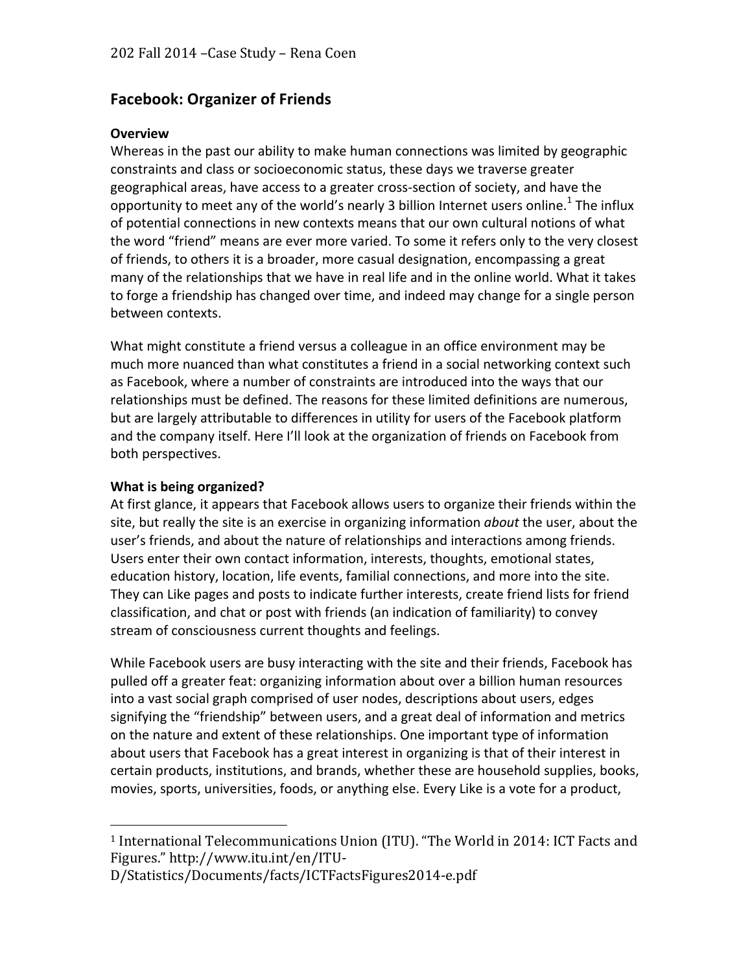# **Facebook: Organizer of Friends**

#### **Overview**

Whereas in the past our ability to make human connections was limited by geographic constraints and class or socioeconomic status, these days we traverse greater geographical areas, have access to a greater cross-section of society, and have the opportunity to meet any of the world's nearly 3 billion Internet users online.<sup>1</sup> The influx of potential connections in new contexts means that our own cultural notions of what the word "friend" means are ever more varied. To some it refers only to the very closest of friends, to others it is a broader, more casual designation, encompassing a great many of the relationships that we have in real life and in the online world. What it takes to forge a friendship has changed over time, and indeed may change for a single person between contexts.

What might constitute a friend versus a colleague in an office environment may be much more nuanced than what constitutes a friend in a social networking context such as Facebook, where a number of constraints are introduced into the ways that our relationships must be defined. The reasons for these limited definitions are numerous, but are largely attributable to differences in utility for users of the Facebook platform and the company itself. Here I'll look at the organization of friends on Facebook from both perspectives.

#### **What is being organized?**

 

At first glance, it appears that Facebook allows users to organize their friends within the site, but really the site is an exercise in organizing information *about* the user, about the user's friends, and about the nature of relationships and interactions among friends. Users enter their own contact information, interests, thoughts, emotional states, education history, location, life events, familial connections, and more into the site. They can Like pages and posts to indicate further interests, create friend lists for friend classification, and chat or post with friends (an indication of familiarity) to convey stream of consciousness current thoughts and feelings.

While Facebook users are busy interacting with the site and their friends, Facebook has pulled off a greater feat: organizing information about over a billion human resources into a vast social graph comprised of user nodes, descriptions about users, edges signifying the "friendship" between users, and a great deal of information and metrics on the nature and extent of these relationships. One important type of information about users that Facebook has a great interest in organizing is that of their interest in certain products, institutions, and brands, whether these are household supplies, books, movies, sports, universities, foods, or anything else. Every Like is a vote for a product,

<sup>&</sup>lt;sup>1</sup> International Telecommunications Union (ITU). "The World in 2014: ICT Facts and Figures." http://www.itu.int/en/ITU-

D/Statistics/Documents/facts/ICTFactsFigures2014-e.pdf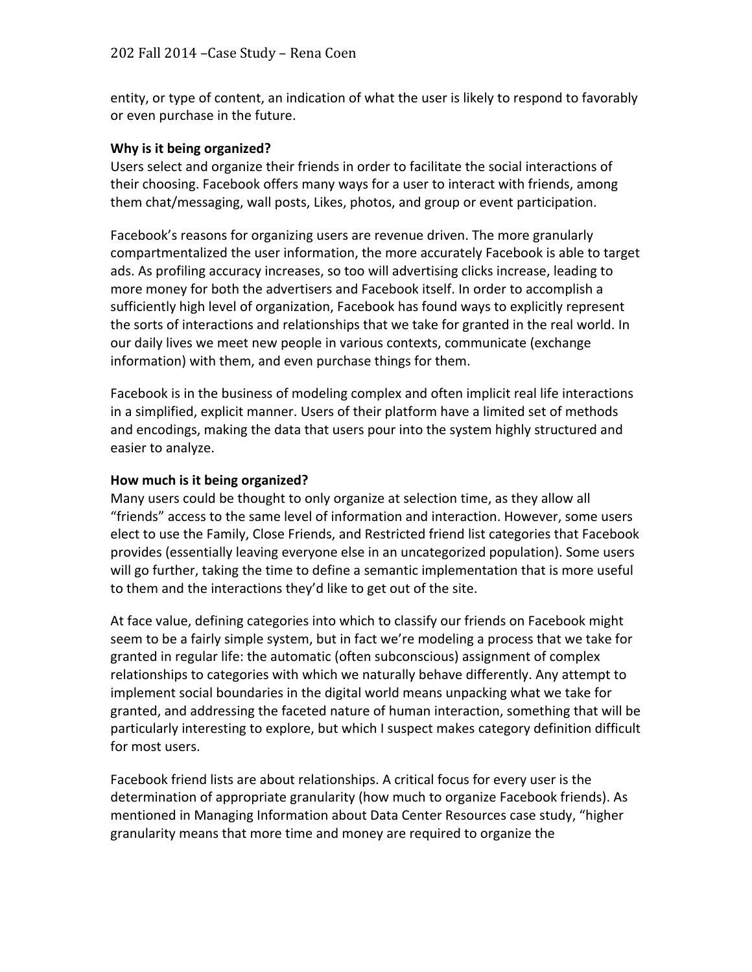entity, or type of content, an indication of what the user is likely to respond to favorably or even purchase in the future.

#### **Why is it being organized?**

Users select and organize their friends in order to facilitate the social interactions of their choosing. Facebook offers many ways for a user to interact with friends, among them chat/messaging, wall posts, Likes, photos, and group or event participation.

Facebook's reasons for organizing users are revenue driven. The more granularly compartmentalized the user information, the more accurately Facebook is able to target ads. As profiling accuracy increases, so too will advertising clicks increase, leading to more money for both the advertisers and Facebook itself. In order to accomplish a sufficiently high level of organization, Facebook has found ways to explicitly represent the sorts of interactions and relationships that we take for granted in the real world. In our daily lives we meet new people in various contexts, communicate (exchange information) with them, and even purchase things for them.

Facebook is in the business of modeling complex and often implicit real life interactions in a simplified, explicit manner. Users of their platform have a limited set of methods and encodings, making the data that users pour into the system highly structured and easier to analyze.

#### How much is it being organized?

Many users could be thought to only organize at selection time, as they allow all "friends" access to the same level of information and interaction. However, some users elect to use the Family, Close Friends, and Restricted friend list categories that Facebook provides (essentially leaving everyone else in an uncategorized population). Some users will go further, taking the time to define a semantic implementation that is more useful to them and the interactions they'd like to get out of the site.

At face value, defining categories into which to classify our friends on Facebook might seem to be a fairly simple system, but in fact we're modeling a process that we take for granted in regular life: the automatic (often subconscious) assignment of complex relationships to categories with which we naturally behave differently. Any attempt to implement social boundaries in the digital world means unpacking what we take for granted, and addressing the faceted nature of human interaction, something that will be particularly interesting to explore, but which I suspect makes category definition difficult for most users.

Facebook friend lists are about relationships. A critical focus for every user is the determination of appropriate granularity (how much to organize Facebook friends). As mentioned in Managing Information about Data Center Resources case study, "higher granularity means that more time and money are required to organize the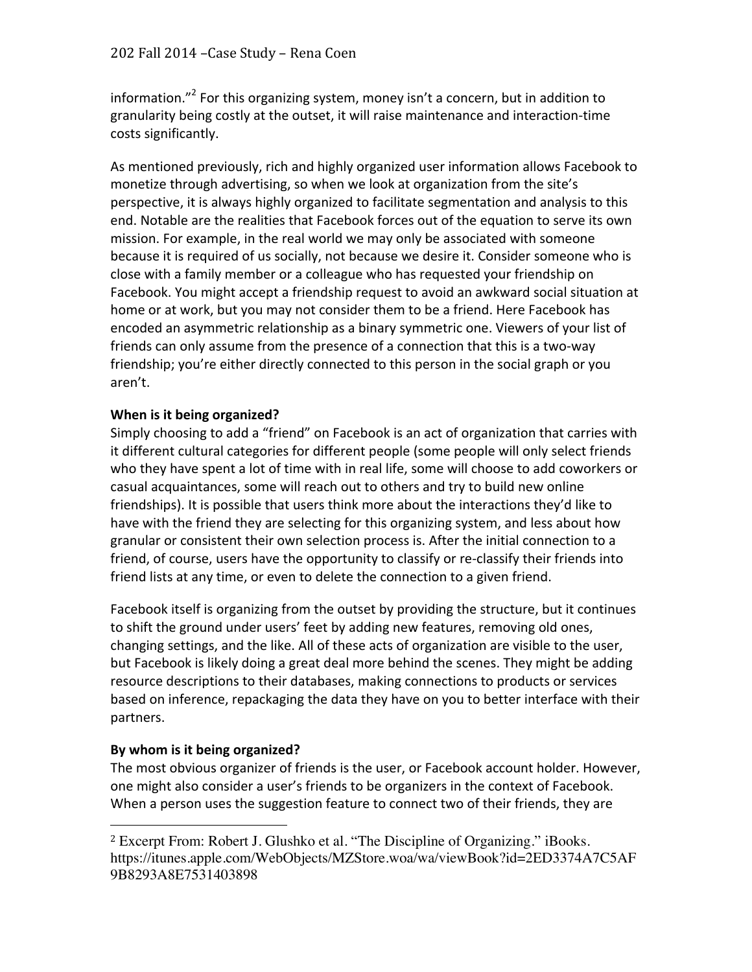information."<sup>2</sup> For this organizing system, money isn't a concern, but in addition to granularity being costly at the outset, it will raise maintenance and interaction-time costs significantly.

As mentioned previously, rich and highly organized user information allows Facebook to monetize through advertising, so when we look at organization from the site's perspective, it is always highly organized to facilitate segmentation and analysis to this end. Notable are the realities that Facebook forces out of the equation to serve its own mission. For example, in the real world we may only be associated with someone because it is required of us socially, not because we desire it. Consider someone who is close with a family member or a colleague who has requested your friendship on Facebook. You might accept a friendship request to avoid an awkward social situation at home or at work, but you may not consider them to be a friend. Here Facebook has encoded an asymmetric relationship as a binary symmetric one. Viewers of your list of friends can only assume from the presence of a connection that this is a two-way friendship; you're either directly connected to this person in the social graph or you aren't. 

## **When is it being organized?**

Simply choosing to add a "friend" on Facebook is an act of organization that carries with it different cultural categories for different people (some people will only select friends who they have spent a lot of time with in real life, some will choose to add coworkers or casual acquaintances, some will reach out to others and try to build new online friendships). It is possible that users think more about the interactions they'd like to have with the friend they are selecting for this organizing system, and less about how granular or consistent their own selection process is. After the initial connection to a friend, of course, users have the opportunity to classify or re-classify their friends into friend lists at any time, or even to delete the connection to a given friend.

Facebook itself is organizing from the outset by providing the structure, but it continues to shift the ground under users' feet by adding new features, removing old ones, changing settings, and the like. All of these acts of organization are visible to the user, but Facebook is likely doing a great deal more behind the scenes. They might be adding resource descriptions to their databases, making connections to products or services based on inference, repackaging the data they have on you to better interface with their partners.

### By whom is it being organized?

 

The most obvious organizer of friends is the user, or Facebook account holder. However, one might also consider a user's friends to be organizers in the context of Facebook. When a person uses the suggestion feature to connect two of their friends, they are

<sup>2</sup> Excerpt From: Robert J. Glushko et al. "The Discipline of Organizing." iBooks. https://itunes.apple.com/WebObjects/MZStore.woa/wa/viewBook?id=2ED3374A7C5AF 9B8293A8E7531403898